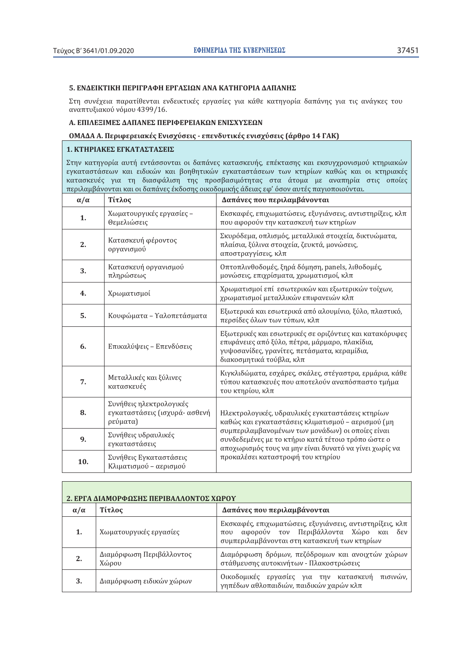### 5. ΕΝΔΕΙΚΤΙΚΗ ΠΕΡΙΓΡΑΦΗ ΕΡΓΑΣΙΩΝ ΑΝΑ ΚΑΤΗΓΟΡΙΑ ΔΑΠΑΝΗΣ

Στη συνέχεια παρατίθενται ενδεικτικές εργασίες για κάθε κατηγορία δαπάνης για τις ανάγκες του αναπτυξιακού νόμου 4399/16.

### Α. ΕΠΙΛΕΞΙΜΕΣ ΔΑΠΑΝΕΣ ΠΕΡΙΦΕΡΕΙΑΚΩΝ ΕΝΙΣΧΥΣΕΩΝ

### ΟΜΑΔΑ Α. Περιφερειακές Ενισχύσεις - επενδυτικές ενισχύσεις (άρθρο 14 ΓΑΚ)

# 1. ΚΤΗΡΙΑΚΕΣ ΕΓΚΑΤΑΣΤΑΣΕΙΣ

Στην κατηγορία αυτή εντάσσονται οι δαπάνες κατασκευής, επέκτασης και εκσυγχρονισμού κτηριακών εγκαταστάσεων και ειδικών και βοηθητικών εγκαταστάσεων των κτηρίων καθώς και οι κτηριακές κατασκευές για τη διασφάλιση της προσβασιμότητας στα άτομα με αναπηρία στις οποίες περιλαμβάνονται και οι δαπάνες έκδοσης οικοδομικής άδειας εφ' όσον αυτές παγιοποιούνται.

| $\alpha/\alpha$ | Τίτλος                                                               | Δαπάνες που περιλαμβάνονται                                                                                                                                                           |
|-----------------|----------------------------------------------------------------------|---------------------------------------------------------------------------------------------------------------------------------------------------------------------------------------|
| 1.              | Χωματουργικές εργασίες -<br>Θεμελιώσεις                              | Εκσκαφές, επιχωματώσεις, εξυγιάνσεις, αντιστηρίξεις, κλπ<br>που αφορούν την κατασκευή των κτηρίων                                                                                     |
| 2.              | Κατασκευή φέροντος<br>οργανισμού                                     | Σκυρόδεμα, οπλισμός, μεταλλικά στοιχεία, δικτυώματα,<br>πλαίσια, ξύλινα στοιχεία, ζευκτά, μονώσεις,<br>αποστραγγίσεις, κλπ                                                            |
| 3.              | Κατασκευή οργανισμού<br>πληρώσεως                                    | Οπτοπλινθοδομές, ξηρά δόμηση, panels, λιθοδομές,<br>μονώσεις, επιχρίσματα, χρωματισμοί, κλπ                                                                                           |
| 4.              | Χρωματισμοί                                                          | Χρωματισμοί επί εσωτερικών και εξωτερικών τοίχων,<br>χρωματισμοί μεταλλικών επιφανειών κλπ                                                                                            |
| 5.              | Κουφώματα - Υαλοπετάσματα                                            | Εξωτερικά και εσωτερικά από αλουμίνιο, ξύλο, πλαστικό,<br>περσίδες όλων των τύπων, κλπ                                                                                                |
| 6.              | Επικαλύψεις - Επενδύσεις                                             | Εξωτερικές και εσωτερικές σε οριζόντιες και κατακόρυφες<br>επιφάνειες από ξύλο, πέτρα, μάρμαρο, πλακίδια,<br>γυψοσανίδες, γρανίτες, πετάσματα, κεραμίδια,<br>διακοσμητικά τούβλα, κλπ |
| 7.              | Μεταλλικές και ξύλινες<br>κατασκευές                                 | Κιγκλιδώματα, εσχάρες, σκάλες, στέγαστρα, ερμάρια, κάθε<br>τύπου κατασκευές που αποτελούν αναπόσπαστο τμήμα<br>του κτηρίου, κλπ                                                       |
| 8.              | Συνήθεις ηλεκτρολογικές<br>εγκαταστάσεις (ισχυρά- ασθενή<br>ρεύματα) | Ηλεκτρολογικές, υδραυλικές εγκαταστάσεις κτηρίων<br>καθώς και εγκαταστάσεις κλιματισμού – αερισμού (μη                                                                                |
| 9.              | Συνήθεις υδραυλικές<br>εγκαταστάσεις                                 | συμπεριλαμβανομένων των μονάδων) οι οποίες είναι<br>συνδεδεμένες με το κτήριο κατά τέτοιο τρόπο ώστε ο<br>αποχωρισμός τους να μην είναι δυνατό να γίνει χωρίς να                      |
| 10.             | Συνήθεις Εγκαταστάσεις<br>Κλιματισμού - αερισμού                     | προκαλέσει καταστροφή του κτηρίου                                                                                                                                                     |

| ΔΙΑΜΟΡΦΩΣΗΣ ΠΕΡΙΒΑΛΛΟΝΤΟΣ ΧΩΡΟΥ |                                   |                                                                                                                                                                         |
|---------------------------------|-----------------------------------|-------------------------------------------------------------------------------------------------------------------------------------------------------------------------|
| $\alpha/\alpha$                 | Τίτλος                            | Δαπάνες που περιλαμβάνονται                                                                                                                                             |
|                                 | Χωματουργικές εργασίες            | Εκσκαφές, επιχωματώσεις, εξυγιάνσεις, αντιστηρίξεις, κλπ<br>αφορούν τον Περιβάλλοντα Χώρο και δεν<br>$\pi$ <sup>0</sup><br>συμπεριλαμβάνονται στη κατασκευή των κτηρίων |
|                                 | Διαμόρφωση Περιβάλλοντος<br>Χώρου | Διαμόρφωση δρόμων, πεζόδρομων και ανοιχτών χώρων<br>στάθμευσης αυτοκινήτων - Πλακοστρώσεις                                                                              |
|                                 | Διαμόρφωση ειδικών χώρων          | Οικοδομικές εργασίες για την κατασκευή<br>πισινών.<br>γηπέδων αθλοπαιδιών, παιδικών χαρών κλπ                                                                           |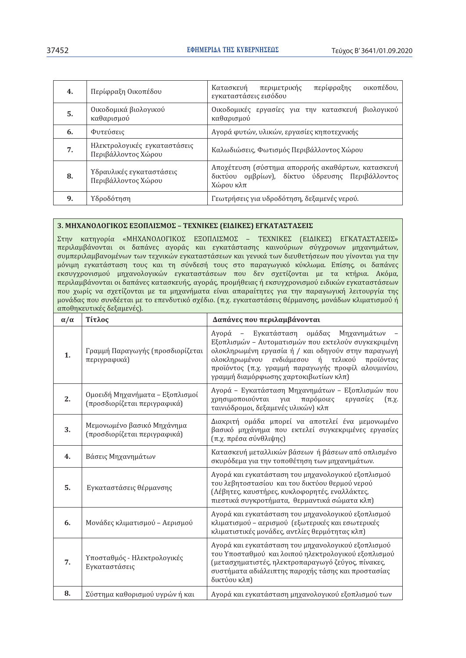| 4. | Περίφραξη Οικοπέδου                                 | περίφραξης<br>οικοπέδου,<br>Κατασκευή<br>περιμετρικής<br>εγκαταστάσεις εισόδου                                    |
|----|-----------------------------------------------------|-------------------------------------------------------------------------------------------------------------------|
| 5. | Οικοδομικά βιολογικού<br>καθαρισμού                 | Οικοδομικές εργασίες για την κατασκευή βιολογικού<br>καθαρισμού                                                   |
| 6. | Φυτεύσεις                                           | Αγορά φυτών, υλικών, εργασίες κηποτεχνικής                                                                        |
| 7. | Ηλεκτρολογικές εγκαταστάσεις<br>Περιβάλλοντος Χώρου | Καλωδιώσεις, Φωτισμός Περιβάλλοντος Χώρου                                                                         |
| 8. | Υδραυλικές εγκαταστάσεις<br>Περιβάλλοντος Χώρου     | Αποχέτευση (σύστημα απορροής ακαθάρτων, κατασκευή<br>δικτύου ομβρίων), δίκτυο ύδρευσης Περιβάλλοντος<br>Χώρου κλπ |
| 9. | Υδροδότηση                                          | Γεωτρήσεις για υδροδότηση, δεξαμενές νερού.                                                                       |

## 3. ΜΗΧΑΝΟΛΟΓΙΚΟΣ ΕΞΟΠΛΙΣΜΟΣ - ΤΕΧΝΙΚΕΣ (ΕΙΔΙΚΕΣ) ΕΓΚΑΤΑΣΤΑΣΕΙΣ

Στην κατηγορία «ΜΗΧΑΝΟΛΟΓΙΚΟΣ ΕΞΟΠΛΙΣΜΟΣ - ΤΕΧΝΙΚΕΣ (ΕΙΔΙΚΕΣ) ΕΓΚΑΤΑΣΤΑΣΕΙΣ» περιλαμβάνονται οι δαπάνες αγοράς και εγκατάστασης καινούριων σύγχρονων μηχανημάτων, συμπεριλαμβανομένων των τεχνικών εγκαταστάσεων και γενικά των διευθετήσεων που γίνονται για την μόνιμη εγκατάσταση τους και τη σύνδεσή τους στο παραγωγικό κύκλωμα. Επίσης, οι δαπάνες εκσυγχρονισμού μηχανολογικών εγκαταστάσεων που δεν σχετίζονται με τα κτήρια. Ακόμα, περιλαμβάνονται οι δαπάνες κατασκευής, αγοράς, προμήθειας ή εκσυγχρονισμού ειδικών εγκαταστάσεων που χωρίς να σχετίζονται με τα μηχανήματα είναι απαραίτητες για την παραγωγική λειτουργία της μονάδας που συνδέεται με το επενδυτικό σχέδιο. (π.χ. εγκαταστάσεις θέρμανσης, μονάδων κλιματισμού ή αποθηκευτικές δεξαμενές).

| $\alpha/\alpha$ | Τίτλος                                                          | Δαπάνες που περιλαμβάνονται                                                                                                                                                                                                                                                                                     |
|-----------------|-----------------------------------------------------------------|-----------------------------------------------------------------------------------------------------------------------------------------------------------------------------------------------------------------------------------------------------------------------------------------------------------------|
| 1.              | Γραμμή Παραγωγής (προσδιορίζεται<br>περιγραφικά)                | - Εγκατάσταση ομάδας Μηχανημάτων<br>Αγορά<br>Εξοπλισμών - Αυτοματισμών που εκτελούν συγκεκριμένη<br>ολοκληρωμένη εργασία ή / και οδηγούν στην παραγωγή<br>ολοκληρωμένου<br>ενδιάμεσου<br>ή τελικού<br>προϊόντας<br>προϊόντος (π.χ. γραμμή παραγωγής προφίλ αλουμινίου,<br>γραμμή διαμόρφωσης χαρτοκιβωτίων κλπ) |
| 2.              | Ομοειδή Μηχανήματα - Εξοπλισμοί<br>(προσδιορίζεται περιγραφικά) | Αγορά - Εγκατάσταση Μηχανημάτων - Εξοπλισμών που<br>χρησιμοποιούνται<br>παρόμοιες<br>για<br>εργασίες<br>$(\pi.\chi.$<br>ταινιόδρομοι, δεξαμενές υλικών) κλπ                                                                                                                                                     |
| 3.              | Μεμονωμένο βασικό Μηχάνημα<br>(προσδιορίζεται περιγραφικά)      | Διακριτή ομάδα μπορεί να αποτελεί ένα μεμονωμένο<br>βασικό μηχάνημα που εκτελεί συγκεκριμένες εργασίες<br>(π.χ. πρέσα σύνθλιψης)                                                                                                                                                                                |
| 4.              | Βάσεις Μηχανημάτων                                              | Κατασκευή μεταλλικών βάσεων ή βάσεων από οπλισμένο<br>σκυρόδεμα για την τοποθέτηση των μηχανημάτων.                                                                                                                                                                                                             |
| 5.              | Εγκαταστάσεις θέρμανσης                                         | Αγορά και εγκατάσταση του μηχανολογικού εξοπλισμού<br>του λεβητοστασίου και του δικτύου θερμού νερού<br>(Λέβητες, καυστήρες, κυκλοφορητές, εναλλάκτες,<br>πιεστικά συγκροτήματα, θερμαντικά σώματα κλπ)                                                                                                         |
| 6.              | Μονάδες κλιματισμού – Αερισμού                                  | Αγορά και εγκατάσταση του μηχανολογικού εξοπλισμού<br>κλιματισμού - αερισμού (εξωτερικές και εσωτερικές<br>κλιματιστικές μονάδες, αντλίες θερμότητας κλπ)                                                                                                                                                       |
| 7.              | Υποσταθμός - Ηλεκτρολογικές<br>Εγκαταστάσεις                    | Αγορά και εγκατάσταση του μηχανολογικού εξοπλισμού<br>του Υποσταθμού και λοιπού ηλεκτρολογικού εξοπλισμού<br>(μετασχηματιστές, ηλεκτροπαραγωγό ζεύγος, πίνακες,<br>συστήματα αδιάλειπτης παροχής τάσης και προστασίας<br>δικτύου κλπ)                                                                           |
| 8.              | Σύστημα καθορισμού υγρών ή και                                  | Αγορά και εγκατάσταση μηχανολογικού εξοπλισμού των                                                                                                                                                                                                                                                              |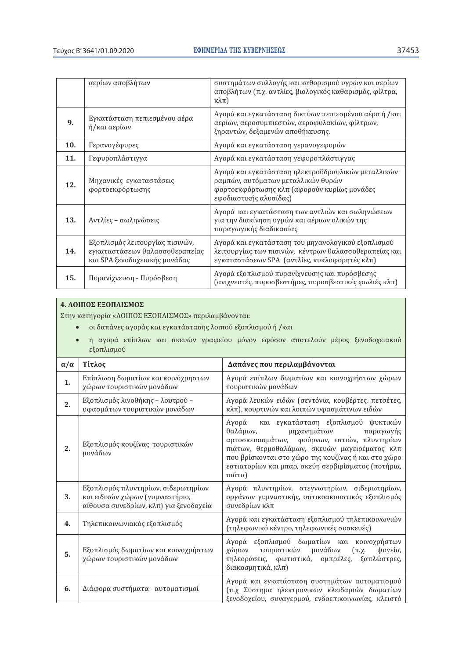|            | αερίων αποβλήτων                                                                                   | συστημάτων συλλογής και καθορισμού υγρών και αερίων<br>αποβλήτων (π.χ. αντλίες, βιολογικός καθαρισμός, φίλτρα,<br>$\kappa\lambda\pi$ )                            |
|------------|----------------------------------------------------------------------------------------------------|-------------------------------------------------------------------------------------------------------------------------------------------------------------------|
| 9.         | Εγκατάσταση πεπιεσμένου αέρα<br>ή/και αερίων                                                       | Αγορά και εγκατάσταση δικτύων πεπιεσμένου αέρα ή /και<br>αερίων, αεροσυμπιεστών, αεροφυλακίων, φίλτρων,<br>ξηραντών, δεξαμενών αποθήκευσης.                       |
| <b>10.</b> | Γερανογέφυρες                                                                                      | Αγορά και εγκατάσταση γερανογεφυρών                                                                                                                               |
| 11.        | Γεφυροπλάστιγγα                                                                                    | Αγορά και εγκατάσταση γεφυροπλάστιγγας                                                                                                                            |
| 12.        | Μηχανικές εγκαταστάσεις<br>φορτοεκφόρτωσης                                                         | Αγορά και εγκατάσταση ηλεκτροϋδραυλικών μεταλλικών<br>ραμπών, αυτόματων μεταλλικών θυρών<br>φορτοεκφόρτωσης κλπ (αφορούν κυρίως μονάδες<br>εφοδιαστικής αλυσίδας) |
| 13.        | Αντλίες - σωληνώσεις                                                                               | Αγορά και εγκατάσταση των αντλιών και σωληνώσεων<br>για την διακίνηση υγρών και αέριων υλικών της<br>παραγωγικής διαδικασίας                                      |
| 14.        | Εξοπλισμός λειτουργίας πισινών,<br>εγκαταστάσεων θαλασσοθεραπείας<br>και SPA ξενοδοχειακής μονάδας | Αγορά και εγκατάσταση του μηχανολογικού εξοπλισμού<br>λειτουργίας των πισινών, κέντρων θαλασσοθεραπείας και<br>εγκαταστάσεων SPA (αντλίες, κυκλοφορητές κλπ)      |
| 15.        | Πυρανίχνευση - Πυρόσβεση                                                                           | Αγορά εξοπλισμού πυρανίχνευσης και πυρόσβεσης<br>(ανιχνευτές, πυροσβεστήρες, πυροσβεστικές φωλιές κλπ)                                                            |

# 4. ΛΟΙΠΟΣ ΕΞΟΠΛΙΣΜΟΣ

Στην κατηγορία «ΛΟΙΠΟΣ ΕΞΟΠΛΙΣΜΟΣ» περιλαμβάνονται:

- · οι δαπάνες αγοράς και εγκατάστασης λοιπού εξοπλισμού ή /και
- η αγορά επίπλων και σκευών γραφείου μόνον εφόσον αποτελούν μέρος ξενοδοχειακού  $\bullet$ εξοπλισμού

| $\alpha/\alpha$ | Τίτλος                                                                                                           | Δαπάνες που περιλαμβάνονται                                                                                                                                                                                                                                                                                |
|-----------------|------------------------------------------------------------------------------------------------------------------|------------------------------------------------------------------------------------------------------------------------------------------------------------------------------------------------------------------------------------------------------------------------------------------------------------|
| 1.              | Επίπλωση δωματίων και κοινόχρηστων<br>χώρων τουριστικών μονάδων                                                  | Αγορά επίπλων δωματίων και κοινοχρήστων χώρων<br>τουριστικών μονάδων                                                                                                                                                                                                                                       |
| 2.              | Εξοπλισμός λινοθήκης - λουτρού -<br>υφασμάτων τουριστικών μονάδων                                                | Αγορά λευκών ειδών (σεντόνια, κουβέρτες, πετσέτες,<br>κλπ), κουρτινών και λοιπών υφασμάτινων ειδών                                                                                                                                                                                                         |
| 2.              | Εξοπλισμός κουζίνας τουριστικών<br>μονάδων                                                                       | Αγορά και εγκατάσταση εξοπλισμού ψυκτικών<br>θαλάμων,<br>μηχανημάτων<br>παραγωγής<br>αρτοσκευασμάτων, φούρνων, εστιών, πλυντηρίων<br>πιάτων, θερμοθαλάμων, σκευών μαγειρέματος κλπ<br>που βρίσκονται στο χώρο της κουζίνας ή και στο χώρο<br>εστιατορίων και μπαρ, σκεύη σερβιρίσματος (ποτήρια,<br>πιάτα) |
| 3.              | Εξοπλισμός πλυντηρίων, σιδερωτηρίων<br>και ειδικών χώρων (γυμναστήριο,<br>αίθουσα συνεδρίων, κλπ) για ξενοδοχεία | Αγορά πλυντηρίων, στεγνωτηρίων, σιδερωτηρίων,<br>οργάνων γυμναστικής, οπτικοακουστικός εξοπλισμός<br>συνεδρίων κλπ                                                                                                                                                                                         |
| 4.              | Τηλεπικοινωνιακός εξοπλισμός                                                                                     | Αγορά και εγκατάσταση εξοπλισμού τηλεπικοινωνιών<br>(τηλεφωνικό κέντρο, τηλεφωνικές συσκευές)                                                                                                                                                                                                              |
| 5.              | Εξοπλισμός δωματίων και κοινοχρήστων<br>χώρων τουριστικών μονάδων                                                | Αγορά εξοπλισμού δωματίων και κοινοχρήστων<br>τουριστικών μονάδων<br>χώρων<br>$(\pi.\chi.$<br>ψυγεία,<br>τηλεοράσεις, φωτιστικά, ομπρέλες, ξαπλώστρες,<br>διακοσμητικά, κλπ)                                                                                                                               |
| 6.              | Διάφορα συστήματα - αυτοματισμοί                                                                                 | Αγορά και εγκατάσταση συστημάτων αυτοματισμού<br>(π.χ Σύστημα ηλεκτρονικών κλειδαριών δωματίων<br>ξενοδοχείου, συναγερμού, ενδοεπικοινωνίας, κλειστό                                                                                                                                                       |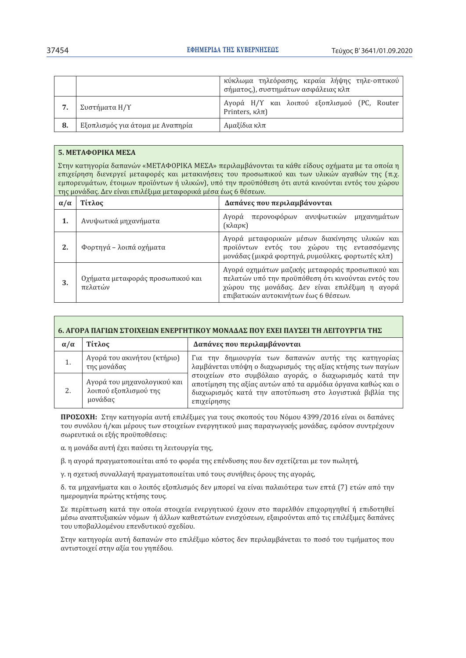|    |                                  | κύκλωμα τηλεόρασης, κεραία λήψης τηλε-οπτικού<br>σήματος,), συστημάτων ασφάλειας κλπ |
|----|----------------------------------|--------------------------------------------------------------------------------------|
|    | Συστήματα Η/Υ                    | Αγορά Η/Υ και λοιπού εξοπλισμού (PC, Router<br>Printers, κλπ)                        |
| 8. | Εξοπλισμός για άτομα με Αναπηρία | Αμαξίδια κλπ                                                                         |

# 5. ΜΕΤΑΦΟΡΙΚΑ ΜΕΣΑ

Στην κατηγορία δαπανών «ΜΕΤΑΦΟΡΙΚΑ ΜΕΣΑ» περιλαμβάνονται τα κάθε είδους οχήματα με τα οποία η επιχείρηση διενεργεί μεταφορές και μετακινήσεις του προσωπικού και των υλικών αγαθών της (π.χ. εμπορευμάτων, έτοιμων προϊόντων ή υλικών), υπό την προϋπόθεση ότι αυτά κινούνται εντός του χώρου της μονάδας. Δεν είναι επιλέξιμα μεταφορικά μέσα έως 6 θέσεων.

| $\alpha/\alpha$ | Τίτλος                                      | Δαπάνες που περιλαμβάνονται                                                                                                                                                                     |
|-----------------|---------------------------------------------|-------------------------------------------------------------------------------------------------------------------------------------------------------------------------------------------------|
|                 | Ανυψωτικά μηχανήματα                        | Αγορά περονοφόρων ανυψωτικών μηχανημάτων<br>(κλαρκ)                                                                                                                                             |
| 2.              | Φορτηγά – λοιπά οχήματα                     | Αγορά μεταφορικών μέσων διακίνησης υλικών και<br>προϊόντων εντός του χώρου της εντασσόμενης<br>μονάδας (μικρά φορτηγά, ρυμούλκες, φορτωτές κλπ)                                                 |
| 3.              | Οχήματα μεταφοράς προσωπικού και<br>πελατών | Αγορά οχημάτων μαζικής μεταφοράς προσωπικού και<br>πελατών υπό την προϋπόθεση ότι κινούνται εντός του<br>χώρου της μονάδας. Δεν είναι επιλέξιμη η αγορά<br>επιβατικών αυτοκινήτων έως 6 θέσεων. |

| 6. ΑΓΟΡΑ ΠΑΓΙΩΝ ΣΤΟΙΧΕΙΩΝ ΕΝΕΡΓΗΤΙΚΟΥ ΜΟΝΑΛΑΣ ΠΟΥ ΕΧΕΙ ΠΑΥΣΕΙ ΤΗ ΛΕΙΤΟΥΡΓΙΑ ΤΗΣ |                                                                 |                                                                                                                                                                                                 |  |
|---------------------------------------------------------------------------------|-----------------------------------------------------------------|-------------------------------------------------------------------------------------------------------------------------------------------------------------------------------------------------|--|
| $\alpha/\alpha$                                                                 | Τίτλος                                                          | Δαπάνες που περιλαμβάνονται                                                                                                                                                                     |  |
|                                                                                 | Αγορά του ακινήτου (κτήριο)<br>της μονάδας                      | Για την δημιουργία των δαπανών αυτής της κατηγορίας<br>λαμβάνεται υπόψη ο διαχωρισμός της αξίας κτήσης των παγίων                                                                               |  |
|                                                                                 | Αγορά του μηχανολογικού και<br>λοιπού εξοπλισμού της<br>μονάδας | στοιχείων στο συμβόλαιο αγοράς, ο διαχωρισμός κατά την<br>αποτίμηση της αξίας αυτών από τα αρμόδια όργανα καθώς και ο<br>διαχωρισμός κατά την αποτύπωση στο λογιστικά βιβλία της<br>επιχείρησης |  |

ΠΡΟΣΟΧΗ: Στην κατηγορία αυτή επιλέξιμες για τους σκοπούς του Νόμου 4399/2016 είναι οι δαπάνες του συνόλου ή/και μέρους των στοιχείων ενεργητικού μιας παραγωγικής μονάδας, εφόσον συντρέχουν σωρευτικά οι εξής προϋποθέσεις:

α. η μονάδα αυτή έχει παύσει τη λειτουργία της,

β. η αγορά πραγματοποιείται από το φορέα της επένδυσης που δεν σχετίζεται με τον πωλητή,

γ. η σχετική συναλλαγή πραγματοποιείται υπό τους συνήθεις όρους της αγοράς,

δ. τα μηχανήματα και ο λοιπός εξοπλισμός δεν μπορεί να είναι παλαιότερα των επτά (7) ετών από την ημερομηνία πρώτης κτήσης τους.

Σε περίπτωση κατά την οποία στοιχεία ενεργητικού έχουν στο παρελθόν επιχορηγηθεί ή επιδοτηθεί μέσω αναπτυξιακών νόμων ή άλλων καθεστώτων ενισχύσεων, εξαιρούνται από τις επιλέξιμες δαπάνες του υποβαλλομένου επενδυτικού σχεδίου.

Στην κατηγορία αυτή δαπανών στο επιλέξιμο κόστος δεν περιλαμβάνεται το ποσό του τιμήματος που αντιστοιχεί στην αξία του γηπέδου.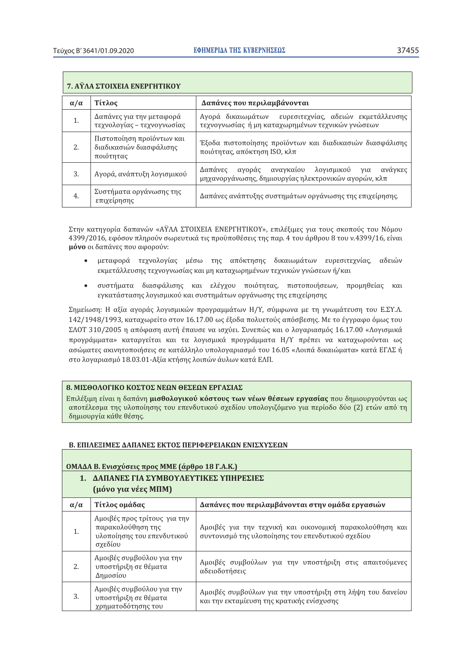| 7. ΑΥΛΑ ΣΤΟΙΧΕΙΑ ΕΝΕΡΓΗΤΙΚΟΥ |                                                                   |                                                                                                            |
|------------------------------|-------------------------------------------------------------------|------------------------------------------------------------------------------------------------------------|
| $\alpha/\alpha$              | Τίτλος                                                            | Δαπάνες που περιλαμβάνονται                                                                                |
|                              | Δαπάνες για την μεταφορά<br>τεχνολογίας – τεχνογνωσίας            | Αγορά δικαιωμάτων ευρεσιτεχνίας, αδειών εκμετάλλευσης<br>τεχνογνωσίας ή μη καταχωρημένων τεχνικών γνώσεων  |
| 2.                           | Πιστοποίηση προϊόντων και<br>διαδικασιών διασφάλισης<br>ποιότητας | Έξοδα πιστοποίησης προϊόντων και διαδικασιών διασφάλισης<br>ποιότητας, απόκτηση ISO, κλπ                   |
| 3.                           | Αγορά, ανάπτυξη λογισμικού                                        | αγοράς αναγκαίου λογισμικού για ανάγκες<br>Δαπάνες<br>μηχανοργάνωσης, δημιουργίας ηλεκτρονικών αγορών, κλπ |
| 4.                           | Συστήματα οργάνωσης της<br>επιχείρησης                            | Δαπάνες ανάπτυξης συστημάτων οργάνωσης της επιχείρησης.                                                    |

Στην κατηγορία δαπανών «ΑΫ́ΛΑ ΣΤΟΙΧΕΙΑ ΕΝΕΡΓΗΤΙΚΟΥ», επιλέξιμες για τους σκοπούς του Νόμου 4399/2016, εφόσον πληρούν σωρευτικά τις προϋποθέσεις της παρ. 4 του άρθρου 8 του ν.4399/16, είναι μόνο οι δαπάνες που αφορούν:

- μεταφορά τεχνολογίας μέσω της απόκτησης δικαιωμάτων ευρεσιτεχνίας, αδειών εκμετάλλευσης τεχνογνωσίας και μη καταχωρημένων τεχνικών γνώσεων ή/και
- $\bullet$ συστήματα διασφάλισης και ελέγχου ποιότητας, πιστοποιήσεων, προμηθείας και εγκατάστασης λογισμικού και συστημάτων οργάνωσης της επιχείρησης

Σημείωση: Η αξία αγοράς λογισμικών προγραμμάτων Η/Υ, σύμφωνα με τη γνωμάτευση του Ε.ΣΥ.Λ. 142/1948/1993, καταχωρείτο στον 16.17.00 ως έξοδα πολυετούς απόσβεσης. Με το έγγραφο όμως του ΣΛΟΤ 310/2005 η απόφαση αυτή έπαυσε να ισχύει. Συνεπώς και ο λογαριασμός 16.17.00 «Λογισμικά προγράμματα» καταργείται και τα λογισμικά προγράμματα Η/Υ πρέπει να καταχωρούνται ως ασώματες ακινητοποιήσεις σε κατάλληλο υπολογαριασμό του 16.05 «Λοιπά δικαιώματα» κατά ΕΓΛΣ ή στο λοναριασμό 18.03.01-Αξία κτήσης λοιπών άυλων κατά ΕΛΠ.

### 8. ΜΙΣΘΟΛΟΓΙΚΟ ΚΟΣΤΟΣ ΝΕΩΝ ΘΕΣΕΩΝ ΕΡΓΑΣΙΑΣ

Επιλέξιμη είναι η δαπάνη μισθολογικού κόστους των νέων θέσεων εργασίας που δημιουργούνται ως αποτέλεσμα της υλοποίησης του επενδυτικού σχεδίου υπολογιζόμενο για περίοδο δύο (2) ετών από τη δημιουργία κάθε θέσης.

### Β. ΕΠΙΛΕΞΙΜΕΣ ΔΑΠΑΝΕΣ ΕΚΤΟΣ ΠΕΡΙΦΕΡΕΙΑΚΩΝ ΕΝΙΣΧΥΣΕΩΝ

#### ΟΜΑΔΑ Β. Ενισχύσεις προς ΜΜΕ (άρθρο 18 Γ.Α.Κ.) 1. ΔΑΠΑΝΕΣ ΓΙΑ ΣΥΜΒΟΥΛΕΥΤΙΚΕΣ ΥΠΗΡΕΣΙΕΣ (μόνο για νέες ΜΠΜ) Τίτλος ομάδας  $\alpha/\alpha$ Δαπάνες που περιλαμβάνονται στην ομάδα εργασιών Αμοιβές προς τρίτους για την παρακολούθηση της Αμοιβές για την τεχνική και οικονομική παρακολούθηση και  $\mathbf{1}$ . υλοποίησης του επενδυτικού συντονισμό της υλοποίησης του επενδυτικού σχεδίου σχεδίου Αμοιβές συμβούλου για την Αμοιβές συμβούλων για την υποστήριξη στις απαιτούμενες  $2.5$ υποστήριξη σε θέματα αδειοδοτήσεις Δημοσίου Αμοιβές συμβούλου για την Αμοιβές συμβούλων για την υποστήριξη στη λήψη του δανείου  $\overline{3}$ . υποστήριξη σε θέματα και την εκταμίευση της κρατικής ενίσχυσης χρηματοδότησης του